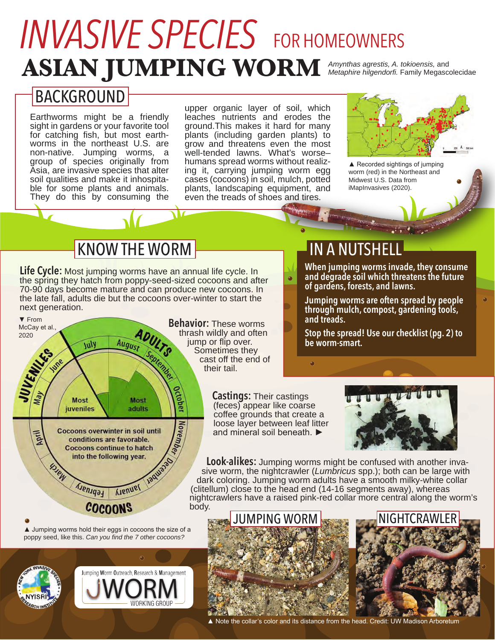# **ASIAN JUMPING WORM** *Amynthas agrestis, A. tokioensis,* and *INVASIVE SPECIES* FOR HOMEOWNERS

*Metaphire hilgendorfi.* Family Megascolecidae

## BACKGROUND

Earthworms might be a friendly sight in gardens or your favorite tool for catching fish, but most earthworms in the northeast U.S. are non-native. Jumping worms, a group of species originally from Asia, are invasive species that alter soil qualities and make it inhospitable for some plants and animals. They do this by consuming the

upper organic layer of soil, which leaches nutrients and erodes the ground.This makes it hard for many plants (including garden plants) to grow and threatens even the most well-tended lawns. What's worse-<br>humans spread worms without realizing it, carrying jumping worm egg cases (cocoons) in soil, mulch, potted plants, landscaping equipment, and even the treads of shoes and tires.



▲ Recorded sightings of jumping worm (red) in the Northeast and Midwest U.S. Data from iMapInvasives (2020).

# KNOW THE WORM **IN A NUTSHELL**

**Life Cycle:** Most jumping worms have an annual life cycle. In the spring they hatch from poppy-seed-sized cocoons and after 70-90 days become mature and can produce new cocoons. In the late fall, adults die but the cocoons over-winter to start the next generation.



poppy seed, like this. *Can you find the 7 other cocoons?*



thrash wildly and often jump or flip over. Sometimes they cast off the end of

**When jumping worms invade, they consume and degrade soil which threatens the future of gardens, forests, and lawns.**

**Jumping worms are often spread by people through mulch, compost, gardening tools, and treads.**

**Stop the spread! Use our checklist (pg. 2) to be worm-smart.**

**Castings:** Their castings (feces) appear like coarse coffee grounds that create a loose layer between leaf litter and mineral soil beneath. ►

 $\bullet$ 

 $\sigma$ 



**Look-alikes:** Jumping worms might be confused with another invasive worm, the nightcrawler (*Lumbricus* spp.); both can be large with dark coloring. Jumping worm adults have a smooth milky-white collar (clitellum) close to the head end (14-16 segments away), whereas nightcrawlers have a raised pink-red collar more central along the worm's





▲ Note the collar's color and its distance from the head. Credit: UW Madison Arboretum